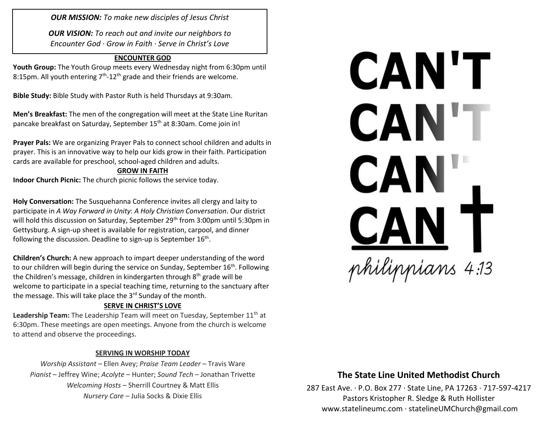*OUR MISSION: To make new disciples of Jesus Christ*

*OUR VISION: To reach out and invite our neighbors to Encounter God · Grow in Faith · Serve in Christ's Love*

#### **ENCOUNTER GOD**

**Youth Group:** The Youth Group meets every Wednesday night from 6:30pm until 8:15pm. All youth entering  $7<sup>th</sup>$ -12<sup>th</sup> grade and their friends are welcome.

**Bible Study:** Bible Study with Pastor Ruth is held Thursdays at 9:30am.

**Men's Breakfast:** The men of the congregation will meet at the State Line Ruritan pancake breakfast on Saturday, September 15<sup>th</sup> at 8:30am. Come join in!

**Prayer Pals:** We are organizing Prayer Pals to connect school children and adults in prayer. This is an innovative way to help our kids grow in their faith. Participation cards are available for preschool, school-aged children and adults.

#### **GROW IN FAITH**

**Indoor Church Picnic:** The church picnic follows the service today.

**Holy Conversation:** The Susquehanna Conference invites all clergy and laity to participate in *A Way Forward in Unity*: *A Holy Christian Conversation*. Our district will hold this discussion on Saturday, September 29<sup>th</sup> from 3:00pm until 5:30pm in Gettysburg. A sign-up sheet is available for registration, carpool, and dinner following the discussion. Deadline to sign-up is September 16<sup>th</sup>.

**Children's Church:** A new approach to impart deeper understanding of the word to our children will begin during the service on Sunday, September 16<sup>th</sup>. Following the Children's message, children in kindergarten through 8th grade will be welcome to participate in a special teaching time, returning to the sanctuary after the message. This will take place the  $3<sup>rd</sup>$  Sunday of the month.

### **SERVE IN CHRIST'S LOVE**

Leadership Team: The Leadership Team will meet on Tuesday, September 11<sup>th</sup> at 6:30pm. These meetings are open meetings. Anyone from the church is welcome to attend and observe the proceedings.

### **SERVING IN WORSHIP TODAY**

*Worship Assistant –* Ellen Avey; *Praise Team Leader* – Travis Ware *Pianist* – Jeffrey Wine; *Acolyte* – Hunter; *Sound Tech* – Jonathan Trivette *Welcoming Hosts* – Sherrill Courtney & Matt Ellis *Nursery Care* – Julia Socks & Dixie Ellis



### **The State Line United Methodist Church**

287 East Ave. · P.O. Box 277 · State Line, PA 17263 · 717-597-4217 Pastors Kristopher R. Sledge & Ruth Hollister [www.statelineumc.com](http://www.statelineumc.com/) · statelineUMChurch@gmail.com